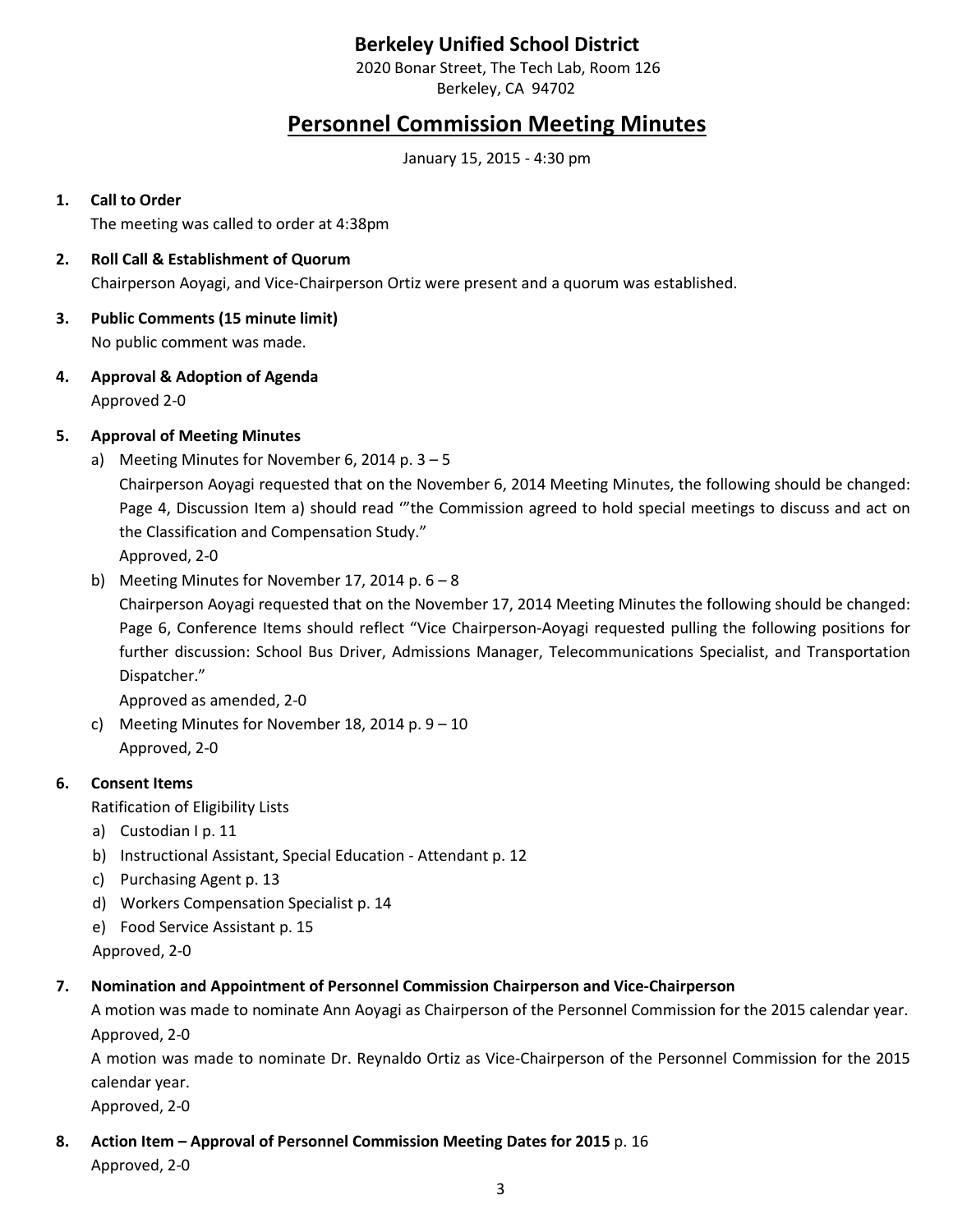# **Berkeley Unified School District**

2020 Bonar Street, The Tech Lab, Room 126 Berkeley, CA 94702

# **Personnel Commission Meeting Minutes**

January 15, 2015 - 4:30 pm

### **1. Call to Order**

The meeting was called to order at 4:38pm

- **2. Roll Call & Establishment of Quorum** Chairperson Aoyagi, and Vice-Chairperson Ortiz were present and a quorum was established.
- **3. Public Comments (15 minute limit)** No public comment was made.
- **4. Approval & Adoption of Agenda** Approved 2-0

## **5. Approval of Meeting Minutes**

a) Meeting Minutes for November 6, 2014 p.  $3 - 5$ 

Chairperson Aoyagi requested that on the November 6, 2014 Meeting Minutes, the following should be changed: Page 4, Discussion Item a) should read '"the Commission agreed to hold special meetings to discuss and act on the Classification and Compensation Study."

Approved, 2-0

b) Meeting Minutes for November 17, 2014 p. 6 – 8

Chairperson Aoyagi requested that on the November 17, 2014 Meeting Minutes the following should be changed: Page 6, Conference Items should reflect "Vice Chairperson-Aoyagi requested pulling the following positions for further discussion: School Bus Driver, Admissions Manager, Telecommunications Specialist, and Transportation Dispatcher."

Approved as amended, 2-0

c) Meeting Minutes for November 18, 2014 p. 9 – 10 Approved, 2-0

#### **6. Consent Items**

Ratification of Eligibility Lists

- a) Custodian I p. 11
- b) Instructional Assistant, Special Education Attendant p. 12
- c) Purchasing Agent p. 13
- d) Workers Compensation Specialist p. 14
- e) Food Service Assistant p. 15
- Approved, 2-0

#### **7. Nomination and Appointment of Personnel Commission Chairperson and Vice-Chairperson**

A motion was made to nominate Ann Aoyagi as Chairperson of the Personnel Commission for the 2015 calendar year. Approved, 2-0

A motion was made to nominate Dr. Reynaldo Ortiz as Vice-Chairperson of the Personnel Commission for the 2015 calendar year.

Approved, 2-0

**8. Action Item – Approval of Personnel Commission Meeting Dates for 2015** p. 16

Approved, 2-0